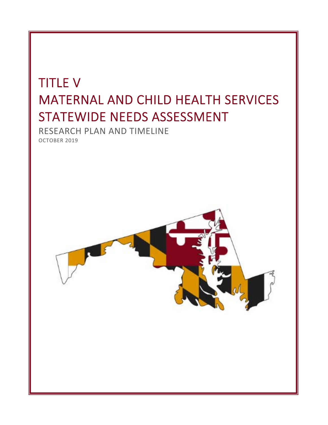# TITLE V MATERNAL AND CHILD HEALTH SERVICES STATEWIDE NEEDS ASSESSMENT

RESEARCH PLAN AND TIMELINE OCTOBER 2019

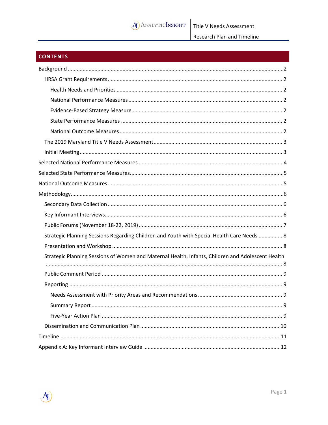

# **CONTENTS**

| Strategic Planning Sessions Regarding Children and Youth with Special Health Care Needs  8        |
|---------------------------------------------------------------------------------------------------|
|                                                                                                   |
| Strategic Planning Sessions of Women and Maternal Health, Infants, Children and Adolescent Health |
|                                                                                                   |
|                                                                                                   |
|                                                                                                   |
|                                                                                                   |
|                                                                                                   |
|                                                                                                   |
|                                                                                                   |
|                                                                                                   |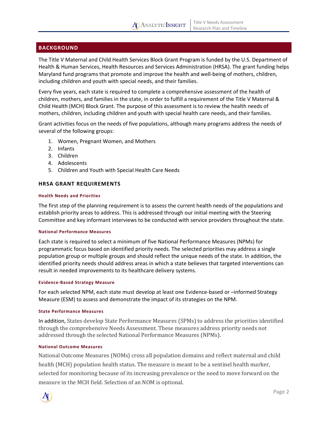

# **BACKGROUND**

The Title V Maternal and Child Health Services Block Grant Program is funded by the U.S. Department of Health & Human Services, Health Resources and Services Administration (HRSA). The grant funding helps Maryland fund programs that promote and improve the health and well-being of mothers, children, including children and youth with special needs, and their families.

Every five years, each state is required to complete a comprehensive assessment of the health of children, mothers, and families in the state, in order to fulfill a requirement of the Title V Maternal & Child Health (MCH) Block Grant. The purpose of this assessment is to review the health needs of mothers, children, including children and youth with special health care needs, and their families.

Grant activities focus on the needs of five populations, although many programs address the needs of several of the following groups:

- 1. Women, Pregnant Women, and Mothers
- 2. Infants
- 3. Children
- 4. Adolescents
- 5. Children and Youth with Special Health Care Needs

#### **HRSA GRANT REQUIREMENTS**

#### **Health Needs and Priorities**

The first step of the planning requirement is to assess the current health needs of the populations and establish priority areas to address. This is addressed through our initial meeting with the Steering Committee and key informant interviews to be conducted with service providers throughout the state.

#### **National Performance Measures**

Each state is required to select a minimum of five National Performance Measures (NPMs) for programmatic focus based on identified priority needs. The selected priorities may address a single population group or multiple groups and should reflect the unique needs of the state. In addition, the identified priority needs should address areas in which a state believes that targeted interventions can result in needed improvements to its healthcare delivery systems.

#### **Evidence‐Based Strategy Measure**

For each selected NPM, each state must develop at least one Evidence-based or -informed Strategy Measure (ESM) to assess and demonstrate the impact of its strategies on the NPM.

#### **State Performance Measures**

In addition, States develop State Performance Measures (SPMs) to address the priorities identified through the comprehensive Needs Assessment. These measures address priority needs not addressed through the selected National Performance Measures (NPMs).

#### **National Outcome Measures**

National Outcome Measures (NOMs) cross all population domains and reflect maternal and child health (MCH) population health status. The measure is meant to be a sentinel health marker, selected for monitoring because of its increasing prevalence or the need to move forward on the measure in the MCH field. Selection of an NOM is optional.

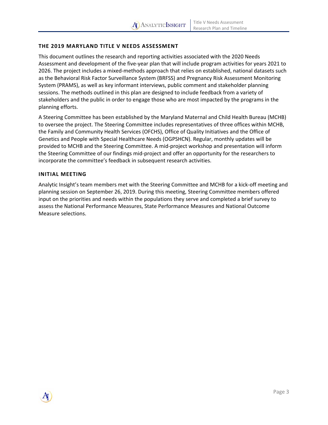# **THE 2019 MARYLAND TITLE V NEEDS ASSESSMENT**

This document outlines the research and reporting activities associated with the 2020 Needs Assessment and development of the five‐year plan that will include program activities for years 2021 to 2026. The project includes a mixed-methods approach that relies on established, national datasets such as the Behavioral Risk Factor Surveillance System (BRFSS) and Pregnancy Risk Assessment Monitoring System (PRAMS), as well as key informant interviews, public comment and stakeholder planning sessions. The methods outlined in this plan are designed to include feedback from a variety of stakeholders and the public in order to engage those who are most impacted by the programs in the planning efforts.

A Steering Committee has been established by the Maryland Maternal and Child Health Bureau (MCHB) to oversee the project. The Steering Committee includes representatives of three offices within MCHB, the Family and Community Health Services (OFCHS), Office of Quality Initiatives and the Office of Genetics and People with Special Healthcare Needs (OGPSHCN). Regular, monthly updates will be provided to MCHB and the Steering Committee. A mid‐project workshop and presentation will inform the Steering Committee of our findings mid‐project and offer an opportunity for the researchers to incorporate the committee's feedback in subsequent research activities.

#### **INITIAL MEETING**

Analytic Insight's team members met with the Steering Committee and MCHB for a kick‐off meeting and planning session on September 26, 2019. During this meeting, Steering Committee members offered input on the priorities and needs within the populations they serve and completed a brief survey to assess the National Performance Measures, State Performance Measures and National Outcome Measure selections.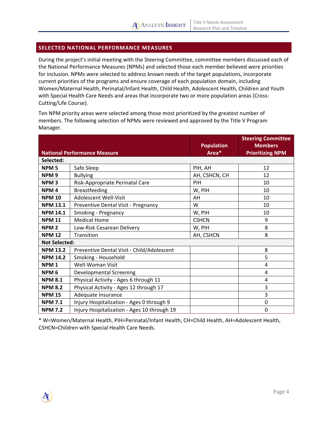# **SELECTED NATIONAL PERFORMANCE MEASURES**

During the project's initial meeting with the Steering Committee, committee members discussed each of the National Performance Measures (NPMs) and selected those each member believed were priorities for inclusion. NPMs were selected to address known needs of the target populations, incorporate current priorities of the programs and ensure coverage of each population domain, including Women/Maternal Health, Perinatal/Infant Health, Child Health, Adolescent Health, Children and Youth with Special Health Care Needs and areas that incorporate two or more population areas (Cross-Cutting/Life Course).

Ten NPM priority areas were selected among those most prioritized by the greatest number of members. The following selection of NPMs were reviewed and approved by the Title V Program Manager.

|                                     |                                             | <b>Population</b> | <b>Steering Committee</b><br><b>Members</b> |
|-------------------------------------|---------------------------------------------|-------------------|---------------------------------------------|
| <b>National Performance Measure</b> |                                             | Area*             | <b>Prioritizing NPM</b>                     |
| Selected:                           |                                             |                   |                                             |
| NPM <sub>5</sub>                    | Safe Sleep                                  | PIH, AH           | 12                                          |
| NPM <sub>9</sub>                    | <b>Bullying</b>                             | AH, CSHCN, CH     | 12                                          |
| NPM <sub>3</sub>                    | Risk-Appropriate Perinatal Care             | PIH               | 10                                          |
| NPM <sub>4</sub>                    | <b>Breastfeeding</b>                        | W, PIH            | 10                                          |
| <b>NPM 10</b>                       | Adolescent Well-Visit                       | AH                | 10                                          |
| <b>NPM 13.1</b>                     | Preventive Dental Visit - Pregnancy         | W                 | 10                                          |
| <b>NPM 14.1</b>                     | Smoking - Pregnancy                         | W, PIH            | 10                                          |
| <b>NPM 11</b>                       | <b>Medical Home</b>                         | <b>CSHCN</b>      | 9                                           |
| NPM <sub>2</sub>                    | Low-Risk Cesarean Delivery                  | W, PIH            | 8                                           |
| <b>NPM 12</b>                       | Transition                                  | AH, CSHCN         | 8                                           |
| <b>Not Selected:</b>                |                                             |                   |                                             |
| <b>NPM 13.2</b>                     | Preventive Dental Visit - Child/Adolescent  |                   | 8                                           |
| <b>NPM 14.2</b>                     | Smoking - Household                         |                   | 5                                           |
| NPM <sub>1</sub>                    | Well-Woman Visit                            |                   | 4                                           |
| NPM <sub>6</sub>                    | <b>Developmental Screening</b>              |                   | 4                                           |
| <b>NPM 8.1</b>                      | Physical Activity - Ages 6 through 11       |                   | 4                                           |
| <b>NPM 8.2</b>                      | Physical Activity - Ages 12 through 17      |                   | 3                                           |
| <b>NPM 15</b>                       | Adequate Insurance                          |                   | 3                                           |
| <b>NPM 7.1</b>                      | Injury Hospitalization - Ages 0 through 9   |                   | $\mathbf 0$                                 |
| <b>NPM 7.2</b>                      | Injury Hospitalization - Ages 10 through 19 |                   | $\mathbf 0$                                 |

\* W=Women/Maternal Health, PIH=Perinatal/Infant Health, CH=Child Health, AH=Adolescent Health, CSHCN=Children with Special Health Care Needs.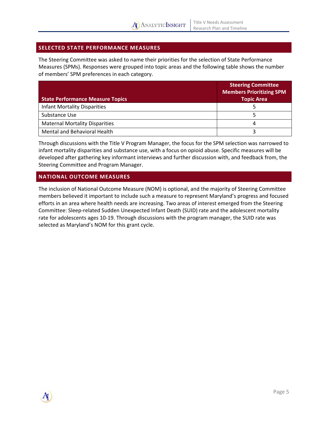

# **SELECTED STATE PERFORMANCE MEASURES**

The Steering Committee was asked to name their priorities for the selection of State Performance Measures (SPMs). Responses were grouped into topic areas and the following table shows the number of members' SPM preferences in each category.

| <b>State Performance Measure Topics</b> | <b>Steering Committee</b><br><b>Members Prioritizing SPM</b><br><b>Topic Area</b> |
|-----------------------------------------|-----------------------------------------------------------------------------------|
| <b>Infant Mortality Disparities</b>     |                                                                                   |
| Substance Use                           |                                                                                   |
| <b>Maternal Mortality Disparities</b>   |                                                                                   |
| Mental and Behavioral Health            |                                                                                   |

Through discussions with the Title V Program Manager, the focus for the SPM selection was narrowed to infant mortality disparities and substance use, with a focus on opioid abuse. Specific measures will be developed after gathering key informant interviews and further discussion with, and feedback from, the Steering Committee and Program Manager.

# **NATIONAL OUTCOME MEASURES**

The inclusion of National Outcome Measure (NOM) is optional, and the majority of Steering Committee members believed it important to include such a measure to represent Maryland's progress and focused efforts in an area where health needs are increasing. Two areas of interest emerged from the Steering Committee: Sleep‐related Sudden Unexpected Infant Death (SUID) rate and the adolescent mortality rate for adolescents ages 10-19. Through discussions with the program manager, the SUID rate was selected as Maryland's NOM for this grant cycle.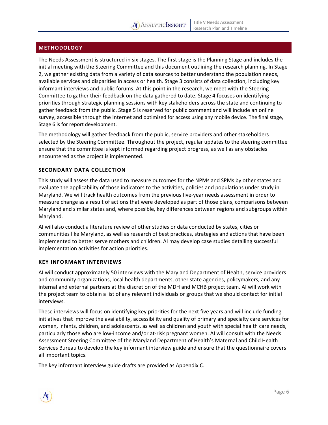# **A** ANALYTIC INSIGHT

# **METHODOLOGY**

The Needs Assessment is structured in six stages. The first stage is the Planning Stage and includes the initial meeting with the Steering Committee and this document outlining the research planning. In Stage 2, we gather existing data from a variety of data sources to better understand the population needs, available services and disparities in access or health. Stage 3 consists of data collection, including key informant interviews and public forums. At this point in the research, we meet with the Steering Committee to gather their feedback on the data gathered to date. Stage 4 focuses on identifying priorities through strategic planning sessions with key stakeholders across the state and continuing to gather feedback from the public. Stage 5 is reserved for public comment and will include an online survey, accessible through the Internet and optimized for access using any mobile device. The final stage, Stage 6 is for report development.

The methodology will gather feedback from the public, service providers and other stakeholders selected by the Steering Committee. Throughout the project, regular updates to the steering committee ensure that the committee is kept informed regarding project progress, as well as any obstacles encountered as the project is implemented.

# **SECONDARY DATA COLLECTION**

This study will assess the data used to measure outcomes for the NPMs and SPMs by other states and evaluate the applicability of those indicators to the activities, policies and populations under study in Maryland. We will track health outcomes from the previous five‐year needs assessment in order to measure change as a result of actions that were developed as part of those plans, comparisons between Maryland and similar states and, where possible, key differences between regions and subgroups within Maryland.

AI will also conduct a literature review of other studies or data conducted by states, cities or communities like Maryland, as well as research of best practices, strategies and actions that have been implemented to better serve mothers and children. AI may develop case studies detailing successful implementation activities for action priorities.

#### **KEY INFORMANT INTERVIEWS**

AI will conduct approximately 50 interviews with the Maryland Department of Health, service providers and community organizations, local health departments, other state agencies, policymakers, and any internal and external partners at the discretion of the MDH and MCHB project team. AI will work with the project team to obtain a list of any relevant individuals or groups that we should contact for initial interviews.

These interviews will focus on identifying key priorities for the next five years and will include funding initiatives that improve the availability, accessibility and quality of primary and specialty care services for women, infants, children, and adolescents, as well as children and youth with special health care needs, particularly those who are low-income and/or at-risk pregnant women. AI will consult with the Needs Assessment Steering Committee of the Maryland Department of Health's Maternal and Child Health Services Bureau to develop the key informant interview guide and ensure that the questionnaire covers all important topics.

The key informant interview guide drafts are provided as Appendix C.

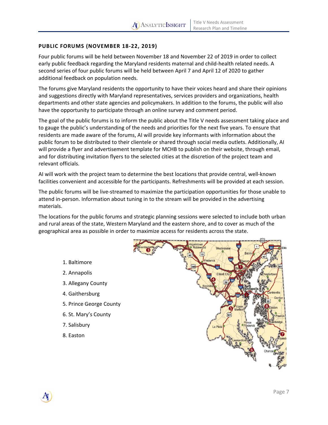# **PUBLIC FORUMS (NOVEMBER 18‐22, 2019)**

Four public forums will be held between November 18 and November 22 of 2019 in order to collect early public feedback regarding the Maryland residents maternal and child‐health related needs. A second series of four public forums will be held between April 7 and April 12 of 2020 to gather additional feedback on population needs.

The forums give Maryland residents the opportunity to have their voices heard and share their opinions and suggestions directly with Maryland representatives, services providers and organizations, health departments and other state agencies and policymakers. In addition to the forums, the public will also have the opportunity to participate through an online survey and comment period.

The goal of the public forums is to inform the public about the Title V needs assessment taking place and to gauge the public's understanding of the needs and priorities for the next five years. To ensure that residents are made aware of the forums, AI will provide key informants with information about the public forum to be distributed to their clientele or shared through social media outlets. Additionally, AI will provide a flyer and advertisement template for MCHB to publish on their website, through email, and for distributing invitation flyers to the selected cities at the discretion of the project team and relevant officials.

AI will work with the project team to determine the best locations that provide central, well‐known facilities convenient and accessible for the participants. Refreshments will be provided at each session.

The public forums will be live‐streamed to maximize the participation opportunities for those unable to attend in‐person. Information about tuning in to the stream will be provided in the advertising materials.

The locations for the public forums and strategic planning sessions were selected to include both urban and rural areas of the state, Western Maryland and the eastern shore, and to cover as much of the geographical area as possible in order to maximize access for residents across the state.

#### 1. Baltimore

- 2. Annapolis
- 3. Allegany County
- 4. Gaithersburg
- 5. Prince George County
- 6. St. Mary's County
- 7. Salisbury
- 8. Easton

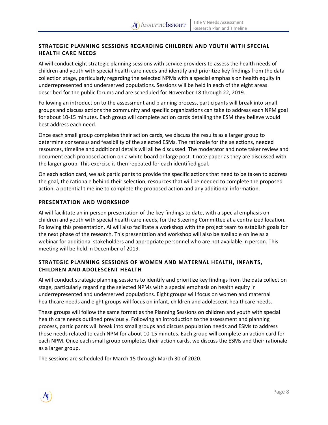# **STRATEGIC PLANNING SESSIONS REGARDING CHILDREN AND YOUTH WITH SPECIAL HEALTH CARE NEEDS**

AI will conduct eight strategic planning sessions with service providers to assess the health needs of children and youth with special health care needs and identify and prioritize key findings from the data collection stage, particularly regarding the selected NPMs with a special emphasis on health equity in underrepresented and underserved populations. Sessions will be held in each of the eight areas described for the public forums and are scheduled for November 18 through 22, 2019.

Following an introduction to the assessment and planning process, participants will break into small groups and discuss actions the community and specific organizations can take to address each NPM goal for about 10‐15 minutes. Each group will complete action cards detailing the ESM they believe would best address each need.

Once each small group completes their action cards, we discuss the results as a larger group to determine consensus and feasibility of the selected ESMs. The rationale for the selections, needed resources, timeline and additional details will all be discussed. The moderator and note taker review and document each proposed action on a white board or large post-it note paper as they are discussed with the larger group. This exercise is then repeated for each identified goal.

On each action card, we ask participants to provide the specific actions that need to be taken to address the goal, the rationale behind their selection, resources that will be needed to complete the proposed action, a potential timeline to complete the proposed action and any additional information.

# **PRESENTATION AND WORKSHOP**

AI will facilitate an in‐person presentation of the key findings to date, with a special emphasis on children and youth with special health care needs, for the Steering Committee at a centralized location. Following this presentation, AI will also facilitate a workshop with the project team to establish goals for the next phase of the research. This presentation and workshop will also be available online as a webinar for additional stakeholders and appropriate personnel who are not available in person. This meeting will be held in December of 2019.

# **STRATEGIC PLANNING SESSIONS OF WOMEN AND MATERNAL HEALTH, INFANTS, CHILDREN AND ADOLESCENT HEALTH**

AI will conduct strategic planning sessions to identify and prioritize key findings from the data collection stage, particularly regarding the selected NPMs with a special emphasis on health equity in underrepresented and underserved populations. Eight groups will focus on women and maternal healthcare needs and eight groups will focus on infant, children and adolescent healthcare needs.

These groups will follow the same format as the Planning Sessions on children and youth with special health care needs outlined previously. Following an introduction to the assessment and planning process, participants will break into small groups and discuss population needs and ESMs to address those needs related to each NPM for about 10‐15 minutes. Each group will complete an action card for each NPM. Once each small group completes their action cards, we discuss the ESMs and their rationale as a larger group.

The sessions are scheduled for March 15 through March 30 of 2020.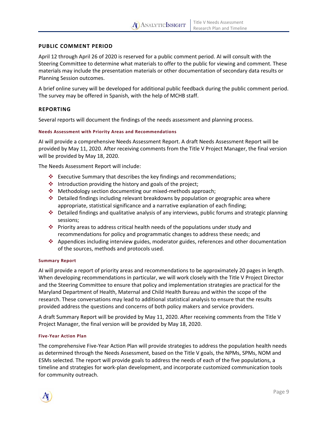# **PUBLIC COMMENT PERIOD**

April 12 through April 26 of 2020 is reserved for a public comment period. AI will consult with the Steering Committee to determine what materials to offer to the public for viewing and comment. These materials may include the presentation materials or other documentation of secondary data results or Planning Session outcomes.

A brief online survey will be developed for additional public feedback during the public comment period. The survey may be offered in Spanish, with the help of MCHB staff.

# **REPORTING**

Several reports will document the findings of the needs assessment and planning process.

#### **Needs Assessment with Priority Areas and Recommendations**

AI will provide a comprehensive Needs Assessment Report. A draft Needs Assessment Report will be provided by May 11, 2020. After receiving comments from the Title V Project Manager, the final version will be provided by May 18, 2020.

The Needs Assessment Report will include:

- $\cdot$  Executive Summary that describes the key findings and recommendations;
- $\cdot$  Introduction providing the history and goals of the project;
- Methodology section documenting our mixed‐methods approach;
- Detailed findings including relevant breakdowns by population or geographic area where appropriate, statistical significance and a narrative explanation of each finding;
- Detailed findings and qualitative analysis of any interviews, public forums and strategic planning sessions;
- Priority areas to address critical health needs of the populations under study and recommendations for policy and programmatic changes to address these needs; and
- Appendices including interview guides, moderator guides, references and other documentation of the sources, methods and protocols used.

#### **Summary Report**

AI will provide a report of priority areas and recommendations to be approximately 20 pages in length. When developing recommendations in particular, we will work closely with the Title V Project Director and the Steering Committee to ensure that policy and implementation strategies are practical for the Maryland Department of Health, Maternal and Child Health Bureau and within the scope of the research. These conversations may lead to additional statistical analysis to ensure that the results provided address the questions and concerns of both policy makers and service providers.

A draft Summary Report will be provided by May 11, 2020. After receiving comments from the Title V Project Manager, the final version will be provided by May 18, 2020.

#### **Five‐Year Action Plan**

The comprehensive Five‐Year Action Plan will provide strategies to address the population health needs as determined through the Needs Assessment, based on the Title V goals, the NPMs, SPMs, NOM and ESMs selected. The report will provide goals to address the needs of each of the five populations, a timeline and strategies for work‐plan development, and incorporate customized communication tools for community outreach.

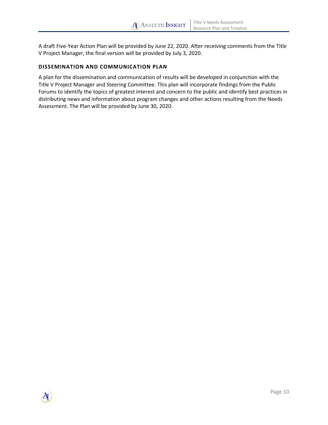A draft Five‐Year Action Plan will be provided by June 22, 2020. After receiving comments from the Title V Project Manager, the final version will be provided by July 3, 2020.

# **DISSEMINATION AND COMMUNICATION PLAN**

A plan for the dissemination and communication of results will be developed in conjunction with the Title V Project Manager and Steering Committee. This plan will incorporate findings from the Public Forums to identify the topics of greatest interest and concern to the public and identify best practices in distributing news and information about program changes and other actions resulting from the Needs Assessment. The Plan will be provided by June 30, 2020.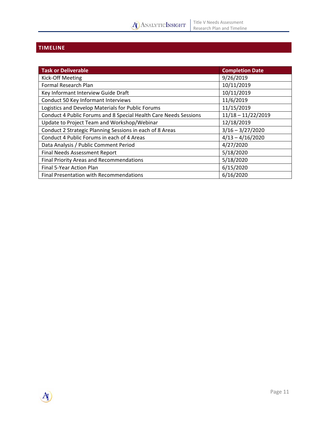# **TIMELINE**

A)

| <b>Task or Deliverable</b>                                       | <b>Completion Date</b> |
|------------------------------------------------------------------|------------------------|
| Kick-Off Meeting                                                 | 9/26/2019              |
| Formal Research Plan                                             | 10/11/2019             |
| Key Informant Interview Guide Draft                              | 10/11/2019             |
| Conduct 50 Key Informant Interviews                              | 11/6/2019              |
| Logistics and Develop Materials for Public Forums                | 11/15/2019             |
| Conduct 4 Public Forums and 8 Special Health Care Needs Sessions | $11/18 - 11/22/2019$   |
| Update to Project Team and Workshop/Webinar                      | 12/18/2019             |
| Conduct 2 Strategic Planning Sessions in each of 8 Areas         | $3/16 - 3/27/2020$     |
| Conduct 4 Public Forums in each of 4 Areas                       | $4/13 - 4/16/2020$     |
| Data Analysis / Public Comment Period                            | 4/27/2020              |
| Final Needs Assessment Report                                    | 5/18/2020              |
| <b>Final Priority Areas and Recommendations</b>                  | 5/18/2020              |
| Final 5-Year Action Plan                                         | 6/15/2020              |
| Final Presentation with Recommendations                          | 6/16/2020              |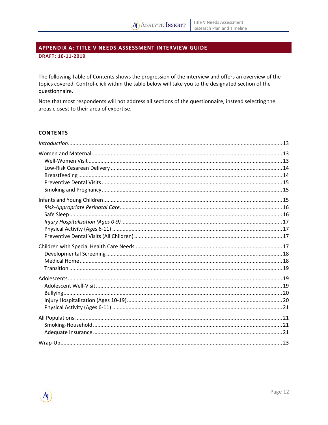# APPENDIX A: TITLE V NEEDS ASSESSMENT INTERVIEW GUIDE

DRAFT: 10-11-2019

The following Table of Contents shows the progression of the interview and offers an overview of the topics covered. Control-click within the table below will take you to the designated section of the questionnaire.

Note that most respondents will not address all sections of the questionnaire, instead selecting the areas closest to their area of expertise.

#### **CONTENTS**

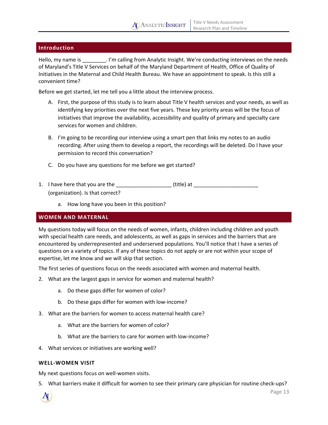# **Introduction**

Hello, my name is \_\_\_\_\_\_\_\_. I'm calling from Analytic Insight. We're conducting interviews on the needs of Maryland's Title V Services on behalf of the Maryland Department of Health, Office of Quality of Initiatives in the Maternal and Child Health Bureau. We have an appointment to speak. Is this still a convenient time?

Before we get started, let me tell you a little about the interview process.

- A. First, the purpose of this study is to learn about Title V health services and your needs, as well as identifying key priorities over the next five years. These key priority areas will be the focus of initiatives that improve the availability, accessibility and quality of primary and specialty care services for women and children.
- B. I'm going to be recording our interview using a smart pen that links my notes to an audio recording. After using them to develop a report, the recordings will be deleted. Do I have your permission to record this conversation?
- C. Do you have any questions for me before we get started?
- 1. I have here that you are the \_\_\_\_\_\_\_\_\_\_\_\_\_\_\_\_\_\_\_\_\_\_\_\_ (title) at \_\_\_\_\_\_\_\_\_\_\_\_\_ (organization). Is that correct?
	- a. How long have you been in this position?

# **WOMEN AND MATERNAL**

My questions today will focus on the needs of women, infants, children including children and youth with special health care needs, and adolescents, as well as gaps in services and the barriers that are encountered by underrepresented and underserved populations. You'll notice that I have a series of questions on a variety of topics. If any of these topics do not apply or are not within your scope of expertise, let me know and we will skip that section.

The first series of questions focus on the needs associated with women and maternal health.

- 2. What are the largest gaps in service for women and maternal health?
	- a. Do these gaps differ for women of color?
	- b. Do these gaps differ for women with low-income?
- 3. What are the barriers for women to access maternal health care?
	- a. What are the barriers for women of color?
	- b. What are the barriers to care for women with low‐income?
- 4. What services or initiatives are working well?

#### **WELL‐WOMEN VISIT**

My next questions focus on well‐women visits.

5. What barriers make it difficult for women to see their primary care physician for routine check‐ups?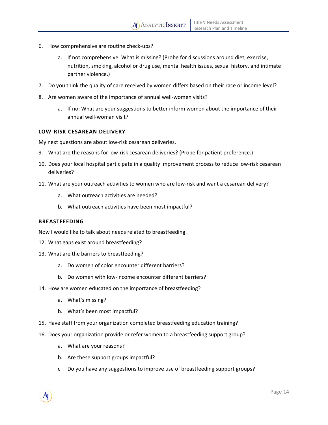- 6. How comprehensive are routine check‐ups?
	- a. If not comprehensive: What is missing? (Probe for discussions around diet, exercise, nutrition, smoking, alcohol or drug use, mental health issues, sexual history, and intimate partner violence.)
- 7. Do you think the quality of care received by women differs based on their race or income level?
- 8. Are women aware of the importance of annual well-women visits?
	- a. If no: What are your suggestions to better inform women about the importance of their annual well‐woman visit?

#### **LOW‐RISK CESAREAN DELIVERY**

My next questions are about low-risk cesarean deliveries.

- 9. What are the reasons for low-risk cesarean deliveries? (Probe for patient preference.)
- 10. Does your local hospital participate in a quality improvement process to reduce low‐risk cesarean deliveries?
- 11. What are your outreach activities to women who are low‐risk and want a cesarean delivery?
	- a. What outreach activities are needed?
	- b. What outreach activities have been most impactful?

#### **BREASTFEEDING**

Now I would like to talk about needs related to breastfeeding.

- 12. What gaps exist around breastfeeding?
- 13. What are the barriers to breastfeeding?
	- a. Do women of color encounter different barriers?
	- b. Do women with low-income encounter different barriers?
- 14. How are women educated on the importance of breastfeeding?
	- a. What's missing?
	- b. What's been most impactful?
- 15. Have staff from your organization completed breastfeeding education training?
- 16. Does your organization provide or refer women to a breastfeeding support group?
	- a. What are your reasons?
	- b. Are these support groups impactful?
	- c. Do you have any suggestions to improve use of breastfeeding support groups?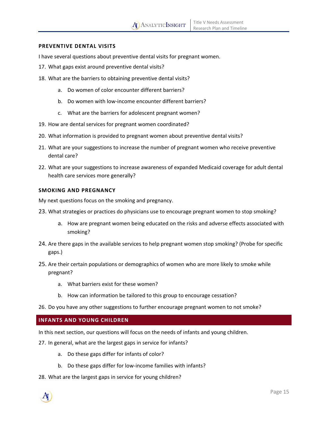#### **PREVENTIVE DENTAL VISITS**

I have several questions about preventive dental visits for pregnant women.

- 17. What gaps exist around preventive dental visits?
- 18. What are the barriers to obtaining preventive dental visits?
	- a. Do women of color encounter different barriers?
	- b. Do women with low-income encounter different barriers?
	- c. What are the barriers for adolescent pregnant women?
- 19. How are dental services for pregnant women coordinated?
- 20. What information is provided to pregnant women about preventive dental visits?
- 21. What are your suggestions to increase the number of pregnant women who receive preventive dental care?
- 22. What are your suggestions to increase awareness of expanded Medicaid coverage for adult dental health care services more generally?

#### **SMOKING AND PREGNANCY**

My next questions focus on the smoking and pregnancy.

- 23. What strategies or practices do physicians use to encourage pregnant women to stop smoking?
	- a. How are pregnant women being educated on the risks and adverse effects associated with smoking?
- 24. Are there gaps in the available services to help pregnant women stop smoking? (Probe for specific gaps.)
- 25. Are their certain populations or demographics of women who are more likely to smoke while pregnant?
	- a. What barriers exist for these women?
	- b. How can information be tailored to this group to encourage cessation?
- 26. Do you have any other suggestions to further encourage pregnant women to not smoke?

#### **INFANTS AND YOUNG CHILDREN**

In this next section, our questions will focus on the needs of infants and young children.

- 27. In general, what are the largest gaps in service for infants?
	- a. Do these gaps differ for infants of color?
	- b. Do these gaps differ for low‐income families with infants?
- 28. What are the largest gaps in service for young children?

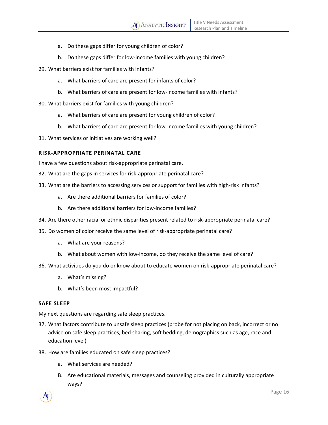- a. Do these gaps differ for young children of color?
- b. Do these gaps differ for low‐income families with young children?
- 29. What barriers exist for families with infants?
	- a. What barriers of care are present for infants of color?
	- b. What barriers of care are present for low-income families with infants?
- 30. What barriers exist for families with young children?
	- a. What barriers of care are present for young children of color?
	- b. What barriers of care are present for low-income families with young children?
- 31. What services or initiatives are working well?

#### **RISK‐APPROPRIATE PERINATAL CARE**

I have a few questions about risk‐appropriate perinatal care.

- 32. What are the gaps in services for risk‐appropriate perinatal care?
- 33. What are the barriers to accessing services or support for families with high-risk infants?
	- a. Are there additional barriers for families of color?
	- b. Are there additional barriers for low‐income families?
- 34. Are there other racial or ethnic disparities present related to risk‐appropriate perinatal care?
- 35. Do women of color receive the same level of risk‐appropriate perinatal care?
	- a. What are your reasons?
	- b. What about women with low-income, do they receive the same level of care?
- 36. What activities do you do or know about to educate women on risk‐appropriate perinatal care?
	- a. What's missing?
	- b. What's been most impactful?

#### **SAFE SLEEP**

My next questions are regarding safe sleep practices.

- 37. What factors contribute to unsafe sleep practices (probe for not placing on back, incorrect or no advice on safe sleep practices, bed sharing, soft bedding, demographics such as age, race and education level)
- 38. How are families educated on safe sleep practices?
	- a. What services are needed?
	- B. Are educational materials, messages and counseling provided in culturally appropriate ways?

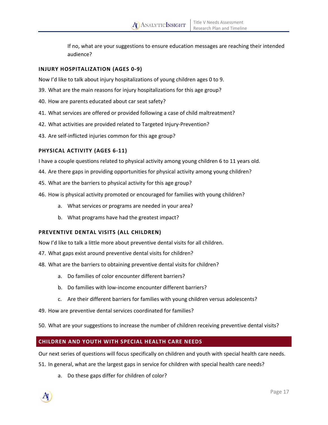If no, what are your suggestions to ensure education messages are reaching their intended audience?

# **INJURY HOSPITALIZATION (AGES 0‐9)**

Now I'd like to talk about injury hospitalizations of young children ages 0 to 9.

- 39. What are the main reasons for injury hospitalizations for this age group?
- 40. How are parents educated about car seat safety?
- 41. What services are offered or provided following a case of child maltreatment?
- 42. What activities are provided related to Targeted Injury-Prevention?
- 43. Are self-inflicted injuries common for this age group?

# **PHYSICAL ACTIVITY (AGES 6‐11)**

I have a couple questions related to physical activity among young children 6 to 11 years old.

- 44. Are there gaps in providing opportunities for physical activity among young children?
- 45. What are the barriers to physical activity for this age group?
- 46. How is physical activity promoted or encouraged for families with young children?
	- a. What services or programs are needed in your area?
	- b. What programs have had the greatest impact?

#### **PREVENTIVE DENTAL VISITS (ALL CHILDREN)**

Now I'd like to talk a little more about preventive dental visits for all children.

- 47. What gaps exist around preventive dental visits for children?
- 48. What are the barriers to obtaining preventive dental visits for children?
	- a. Do families of color encounter different barriers?
	- b. Do families with low-income encounter different barriers?
	- c. Are their different barriers for families with young children versus adolescents?
- 49. How are preventive dental services coordinated for families?
- 50. What are your suggestions to increase the number of children receiving preventive dental visits?

# **CHILDREN AND YOUTH WITH SPECIAL HEALTH CARE NEEDS**

Our next series of questions will focus specifically on children and youth with special health care needs.

51. In general, what are the largest gaps in service for children with special health care needs?

a. Do these gaps differ for children of color?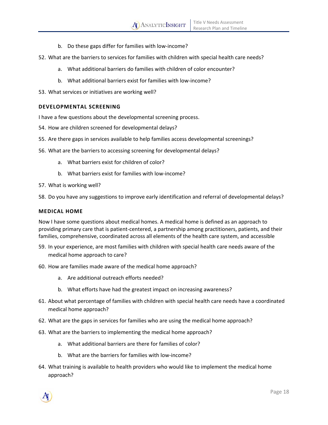- b. Do these gaps differ for families with low‐income?
- 52. What are the barriers to services for families with children with special health care needs?
	- a. What additional barriers do families with children of color encounter?
	- b. What additional barriers exist for families with low‐income?
- 53. What services or initiatives are working well?

# **DEVELOPMENTAL SCREENING**

I have a few questions about the developmental screening process.

- 54. How are children screened for developmental delays?
- 55. Are there gaps in services available to help families access developmental screenings?
- 56. What are the barriers to accessing screening for developmental delays?
	- a. What barriers exist for children of color?
	- b. What barriers exist for families with low-income?
- 57. What is working well?
- 58. Do you have any suggestions to improve early identification and referral of developmental delays?

#### **MEDICAL HOME**

Now I have some questions about medical homes. A medical home is defined as an approach to providing primary care that is patient‐centered, a partnership among practitioners, patients, and their families, comprehensive, coordinated across all elements of the health care system, and accessible

- 59. In your experience, are most families with children with special health care needs aware of the medical home approach to care?
- 60. How are families made aware of the medical home approach?
	- a. Are additional outreach efforts needed?
	- b. What efforts have had the greatest impact on increasing awareness?
- 61. About what percentage of families with children with special health care needs have a coordinated medical home approach?
- 62. What are the gaps in services for families who are using the medical home approach?
- 63. What are the barriers to implementing the medical home approach?
	- a. What additional barriers are there for families of color?
	- b. What are the barriers for families with low‐income?
- 64. What training is available to health providers who would like to implement the medical home approach?

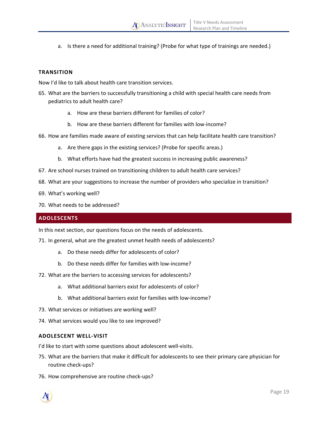a. Is there a need for additional training? (Probe for what type of trainings are needed.)

# **TRANSITION**

Now I'd like to talk about health care transition services.

- 65. What are the barriers to successfully transitioning a child with special health care needs from pediatrics to adult health care?
	- a. How are these barriers different for families of color?
	- b. How are these barriers different for families with low‐income?
- 66. How are families made aware of existing services that can help facilitate health care transition?
	- a. Are there gaps in the existing services? (Probe for specific areas.)
	- b. What efforts have had the greatest success in increasing public awareness?
- 67. Are school nurses trained on transitioning children to adult health care services?
- 68. What are your suggestions to increase the number of providers who specialize in transition?
- 69. What's working well?
- 70. What needs to be addressed?

# **ADOLESCENTS**

In this next section, our questions focus on the needs of adolescents.

71. In general, what are the greatest unmet health needs of adolescents?

- a. Do these needs differ for adolescents of color?
- b. Do these needs differ for families with low‐income?
- 72. What are the barriers to accessing services for adolescents?
	- a. What additional barriers exist for adolescents of color?
	- b. What additional barriers exist for families with low-income?
- 73. What services or initiatives are working well?
- 74. What services would you like to see improved?

#### **ADOLESCENT WELL‐VISIT**

I'd like to start with some questions about adolescent well-visits.

- 75. What are the barriers that make it difficult for adolescents to see their primary care physician for routine check‐ups?
- 76. How comprehensive are routine check‐ups?

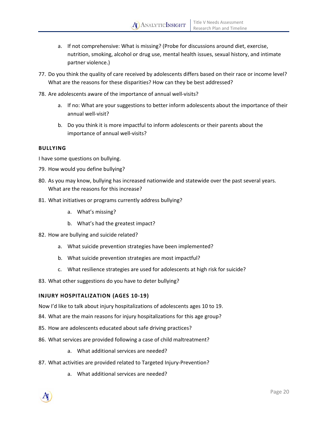- a. If not comprehensive: What is missing? (Probe for discussions around diet, exercise, nutrition, smoking, alcohol or drug use, mental health issues, sexual history, and intimate partner violence.)
- 77. Do you think the quality of care received by adolescents differs based on their race or income level? What are the reasons for these disparities? How can they be best addressed?
- 78. Are adolescents aware of the importance of annual well-visits?
	- a. If no: What are your suggestions to better inform adolescents about the importance of their annual well‐visit?
	- b. Do you think it is more impactful to inform adolescents or their parents about the importance of annual well-visits?

#### **BULLYING**

I have some questions on bullying.

- 79. How would you define bullying?
- 80. As you may know, bullying has increased nationwide and statewide over the past several years. What are the reasons for this increase?
- 81. What initiatives or programs currently address bullying?
	- a. What's missing?
	- b. What's had the greatest impact?
- 82. How are bullying and suicide related?
	- a. What suicide prevention strategies have been implemented?
	- b. What suicide prevention strategies are most impactful?
	- c. What resilience strategies are used for adolescents at high risk for suicide?
- 83. What other suggestions do you have to deter bullying?

#### **INJURY HOSPITALIZATION (AGES 10‐19)**

Now I'd like to talk about injury hospitalizations of adolescents ages 10 to 19.

- 84. What are the main reasons for injury hospitalizations for this age group?
- 85. How are adolescents educated about safe driving practices?
- 86. What services are provided following a case of child maltreatment?
	- a. What additional services are needed?
- 87. What activities are provided related to Targeted Injury-Prevention?
	- a. What additional services are needed?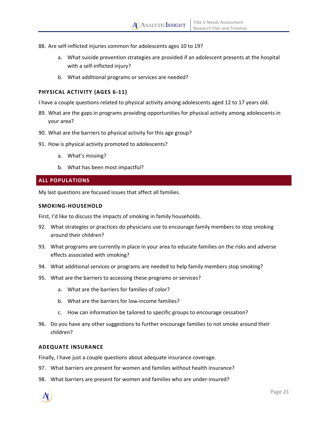- 88. Are self-inflicted injuries common for adolescents ages 10 to 19?
	- a. What suicide prevention strategies are provided if an adolescent presents at the hospital with a self-inflicted injury?
	- b. What additional programs or services are needed?

# **PHYSICAL ACTIVITY (AGES 6‐11)**

I have a couple questions related to physical activity among adolescents aged 12 to 17 years old.

- 89. What are the gaps in programs providing opportunities for physical activity among adolescents in your area?
- 90. What are the barriers to physical activity for this age group?
- 91. How is physical activity promoted to adolescents?
	- a. What's missing?
	- b. What has been most impactful?

# **ALL POPULATIONS**

My last questions are focused issues that affect all families.

#### **SMOKING‐HOUSEHOLD**

First, I'd like to discuss the impacts of smoking in family households.

- 92. What strategies or practices do physicians use to encourage family members to stop smoking around their children?
- 93. What programs are currently in place in your area to educate families on the risks and adverse effects associated with smoking?
- 94. What additional services or programs are needed to help family members stop smoking?
- 95. What are the barriers to accessing these programs or services?
	- a. What are the barriers for families of color?
	- b. What are the barriers for low-income families?
	- c. How can information be tailored to specific groups to encourage cessation?
- 96. Do you have any other suggestions to further encourage families to not smoke around their children?

#### **ADEQUATE INSURANCE**

Finally, I have just a couple questions about adequate insurance coverage.

- 97. What barriers are present for women and families without health insurance?
- 98. What barriers are present for women and families who are under‐insured?

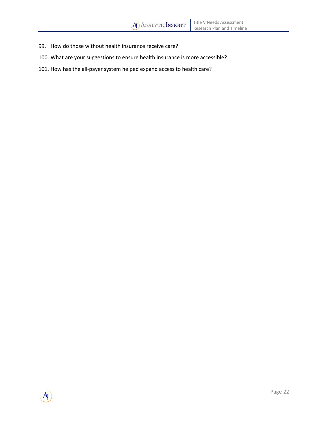- 99. How do those without health insurance receive care?
- 100. What are your suggestions to ensure health insurance is more accessible?
- 101. How has the all-payer system helped expand access to health care?